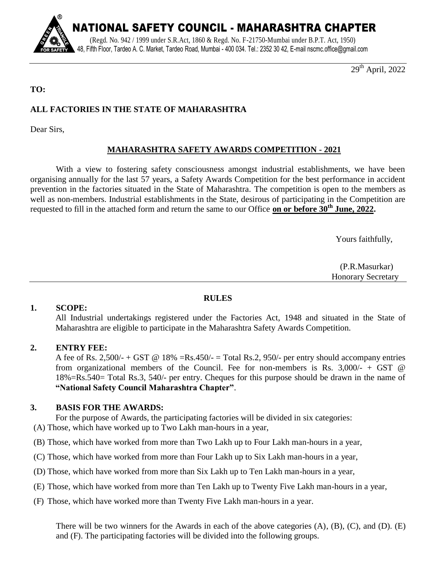

29<sup>th</sup> April, 2022

## **TO:**

# **ALL FACTORIES IN THE STATE OF MAHARASHTRA**

Dear Sirs,

# **MAHARASHTRA SAFETY AWARDS COMPETITION - 2021**

With a view to fostering safety consciousness amongst industrial establishments, we have been organising annually for the last 57 years, a Safety Awards Competition for the best performance in accident prevention in the factories situated in the State of Maharashtra. The competition is open to the members as well as non-members. Industrial establishments in the State, desirous of participating in the Competition are requested to fill in the attached form and return the same to our Office **on or before 30th June, 2022.**

Yours faithfully,

 (P.R.Masurkar) Honorary Secretary

## **RULES**

### **1. SCOPE:**

All Industrial undertakings registered under the Factories Act, 1948 and situated in the State of Maharashtra are eligible to participate in the Maharashtra Safety Awards Competition.

### **2. ENTRY FEE:**

A fee of Rs. 2,500/- + GST @ 18% =  $Rs.450/$  = Total Rs.2, 950/- per entry should accompany entries from organizational members of the Council. Fee for non-members is Rs.  $3,000/ - + GST \quad \textcircled{a}$ 18%=Rs.540= Total Rs.3, 540/- per entry. Cheques for this purpose should be drawn in the name of **"National Safety Council Maharashtra Chapter"**.

### **3. BASIS FOR THE AWARDS:**

For the purpose of Awards, the participating factories will be divided in six categories:

(A) Those, which have worked up to Two Lakh man-hours in a year,

(B) Those, which have worked from more than Two Lakh up to Four Lakh man-hours in a year,

- (C) Those, which have worked from more than Four Lakh up to Six Lakh man-hours in a year,
- (D) Those, which have worked from more than Six Lakh up to Ten Lakh man-hours in a year,
- (E) Those, which have worked from more than Ten Lakh up to Twenty Five Lakh man-hours in a year,
- (F) Those, which have worked more than Twenty Five Lakh man-hours in a year.

There will be two winners for the Awards in each of the above categories (A), (B), (C), and (D). (E) and (F). The participating factories will be divided into the following groups.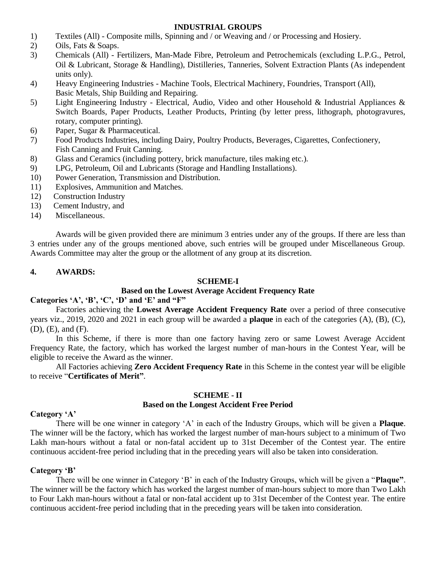## **INDUSTRIAL GROUPS**

- 1) Textiles (All) Composite mills, Spinning and / or Weaving and / or Processing and Hosiery.
- 2) Oils, Fats & Soaps.
- 3) Chemicals (All) Fertilizers, Man-Made Fibre, Petroleum and Petrochemicals (excluding L.P.G., Petrol, Oil & Lubricant, Storage & Handling), Distilleries, Tanneries, Solvent Extraction Plants (As independent units only).
- 4) Heavy Engineering Industries Machine Tools, Electrical Machinery, Foundries, Transport (All), Basic Metals, Ship Building and Repairing.
- 5) Light Engineering Industry Electrical, Audio, Video and other Household & Industrial Appliances & Switch Boards, Paper Products, Leather Products, Printing (by letter press, lithograph, photogravures, rotary, computer printing).
- 6) Paper, Sugar & Pharmaceutical.
- 7) Food Products Industries, including Dairy, Poultry Products, Beverages, Cigarettes, Confectionery, Fish Canning and Fruit Canning.
- 8) Glass and Ceramics (including pottery, brick manufacture, tiles making etc.).
- 9) LPG, Petroleum, Oil and Lubricants (Storage and Handling Installations).
- 10) Power Generation, Transmission and Distribution.
- 11) Explosives, Ammunition and Matches.
- 12) Construction Industry
- 13) Cement Industry, and
- 14) Miscellaneous.

Awards will be given provided there are minimum 3 entries under any of the groups. If there are less than 3 entries under any of the groups mentioned above, such entries will be grouped under Miscellaneous Group. Awards Committee may alter the group or the allotment of any group at its discretion.

### **4. AWARDS:**

### **SCHEME-I**

### **Based on the Lowest Average Accident Frequency Rate**

### **Categories "A", "B", "C", "D" and "E" and "F"**

Factories achieving the **Lowest Average Accident Frequency Rate** over a period of three consecutive years viz., 2019, 2020 and 2021 in each group will be awarded a **plaque** in each of the categories (A), (B), (C), (D), (E), and (F).

In this Scheme, if there is more than one factory having zero or same Lowest Average Accident Frequency Rate, the factory, which has worked the largest number of man-hours in the Contest Year, will be eligible to receive the Award as the winner.

All Factories achieving **Zero Accident Frequency Rate** in this Scheme in the contest year will be eligible to receive "**Certificates of Merit"**.

#### **SCHEME - II**

#### **Based on the Longest Accident Free Period**

### **Category "A"**

There will be one winner in category 'A' in each of the Industry Groups, which will be given a **Plaque**. The winner will be the factory, which has worked the largest number of man-hours subject to a minimum of Two Lakh man-hours without a fatal or non-fatal accident up to 31st December of the Contest year. The entire continuous accident-free period including that in the preceding years will also be taken into consideration.

### **Category "B"**

There will be one winner in Category 'B' in each of the Industry Groups, which will be given a "**Plaque"**. The winner will be the factory which has worked the largest number of man-hours subject to more than Two Lakh to Four Lakh man-hours without a fatal or non-fatal accident up to 31st December of the Contest year. The entire continuous accident-free period including that in the preceding years will be taken into consideration.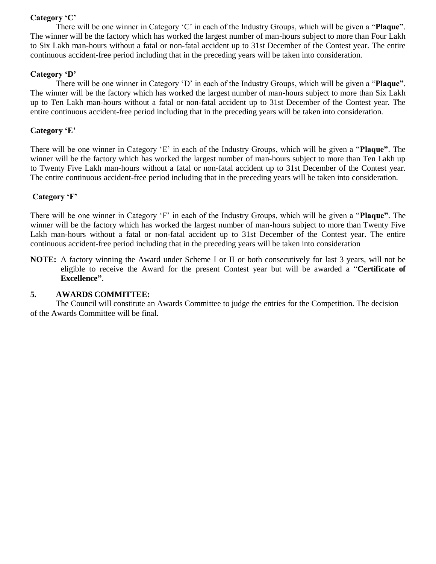## **Category "C"**

There will be one winner in Category 'C' in each of the Industry Groups, which will be given a "**Plaque"**. The winner will be the factory which has worked the largest number of man-hours subject to more than Four Lakh to Six Lakh man-hours without a fatal or non-fatal accident up to 31st December of the Contest year. The entire continuous accident-free period including that in the preceding years will be taken into consideration.

### **Category "D"**

There will be one winner in Category 'D' in each of the Industry Groups, which will be given a "**Plaque"**. The winner will be the factory which has worked the largest number of man-hours subject to more than Six Lakh up to Ten Lakh man-hours without a fatal or non-fatal accident up to 31st December of the Contest year. The entire continuous accident-free period including that in the preceding years will be taken into consideration.

#### **Category "E"**

There will be one winner in Category 'E' in each of the Industry Groups, which will be given a "**Plaque"**. The winner will be the factory which has worked the largest number of man-hours subject to more than Ten Lakh up to Twenty Five Lakh man-hours without a fatal or non-fatal accident up to 31st December of the Contest year. The entire continuous accident-free period including that in the preceding years will be taken into consideration.

### **Category "F"**

There will be one winner in Category 'F' in each of the Industry Groups, which will be given a "**Plaque"**. The winner will be the factory which has worked the largest number of man-hours subject to more than Twenty Five Lakh man-hours without a fatal or non-fatal accident up to 31st December of the Contest year. The entire continuous accident-free period including that in the preceding years will be taken into consideration

**NOTE:** A factory winning the Award under Scheme I or II or both consecutively for last 3 years, will not be eligible to receive the Award for the present Contest year but will be awarded a "**Certificate of Excellence"**.

#### **5. AWARDS COMMITTEE:**

The Council will constitute an Awards Committee to judge the entries for the Competition. The decision of the Awards Committee will be final.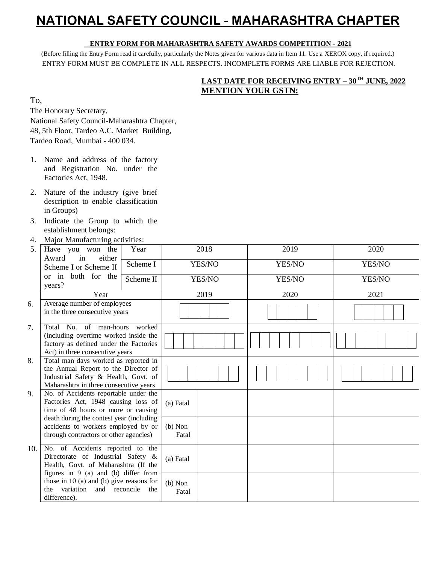# **NATIONAL SAFETY COUNCIL - MAHARASHTRA CHAPTER**

#### **ENTRY FORM FOR MAHARASHTRA SAFETY AWARDS COMPETITION - 2021**

(Before filling the Entry Form read it carefully, particularly the Notes given for various data in Item 11. Use a XEROX copy, if required.) ENTRY FORM MUST BE COMPLETE IN ALL RESPECTS. INCOMPLETE FORMS ARE LIABLE FOR REJECTION.

# **LAST DATE FOR RECEIVING ENTRY – 30TH JUNE, 2022 MENTION YOUR GSTN:**

To,

The Honorary Secretary,

National Safety Council-Maharashtra Chapter, 48, 5th Floor, Tardeo A.C. Market Building, Tardeo Road, Mumbai - 400 034.

- 1. Name and address of the factory and Registration No. under the Factories Act, 1948.
- 2. Nature of the industry (give brief description to enable classification in Groups)
- 3. Indicate the Group to which the establishment belongs:
- 4. Major Manufacturing activities:

| 5.  | Have you won the<br>Award<br>either<br>in                                                                                                                                                                                                        | Year      | 2018               |        | 2019   | 2020   |  |  |  |
|-----|--------------------------------------------------------------------------------------------------------------------------------------------------------------------------------------------------------------------------------------------------|-----------|--------------------|--------|--------|--------|--|--|--|
|     | Scheme I<br>Scheme I or Scheme II                                                                                                                                                                                                                |           |                    | YES/NO | YES/NO | YES/NO |  |  |  |
|     | or in both for the<br>years?                                                                                                                                                                                                                     | Scheme II |                    | YES/NO | YES/NO | YES/NO |  |  |  |
|     | Year                                                                                                                                                                                                                                             |           | 2019               |        | 2020   | 2021   |  |  |  |
| 6.  | Average number of employees<br>in the three consecutive years                                                                                                                                                                                    |           |                    |        |        |        |  |  |  |
| 7.  | Total No. of man-hours<br>(including overtime worked inside the<br>factory as defined under the Factories<br>Act) in three consecutive years                                                                                                     |           |                    |        |        |        |  |  |  |
| 8.  | Total man days worked as reported in<br>the Annual Report to the Director of<br>Industrial Safety & Health, Govt. of<br>Maharashtra in three consecutive years                                                                                   |           |                    |        |        |        |  |  |  |
| 9.  | No. of Accidents reportable under the<br>Factories Act, 1948 causing loss of<br>time of 48 hours or more or causing<br>death during the contest year (including<br>accidents to workers employed by or<br>through contractors or other agencies) |           | (a) Fatal          |        |        |        |  |  |  |
|     |                                                                                                                                                                                                                                                  |           | $(b)$ Non<br>Fatal |        |        |        |  |  |  |
| 10. | No. of Accidents reported to the<br>Directorate of Industrial Safety &<br>Health, Govt. of Maharashtra (If the<br>figures in $9$ (a) and (b) differ from                                                                                         |           | (a) Fatal          |        |        |        |  |  |  |
|     | those in $10$ (a) and (b) give reasons for<br>variation<br>and reconcile<br>the<br>difference).                                                                                                                                                  | the       | $(b)$ Non<br>Fatal |        |        |        |  |  |  |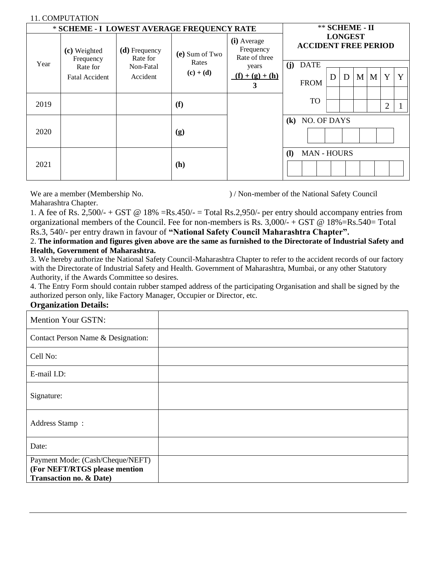### 11. COMPUTATION

| 11. COMI UTATION                           |                                   |                                        |                                        |                                           |                                                                     |   |   |   |   |                |   |
|--------------------------------------------|-----------------------------------|----------------------------------------|----------------------------------------|-------------------------------------------|---------------------------------------------------------------------|---|---|---|---|----------------|---|
| * SCHEME - I LOWEST AVERAGE FREQUENCY RATE | ** SCHEME - II                    |                                        |                                        |                                           |                                                                     |   |   |   |   |                |   |
| Year                                       | (c) Weighted<br>Frequency         | (d) Frequency<br>Rate for<br>Non-Fatal | (e) Sum of Two<br>Rates<br>$(c) + (d)$ | (i) Average<br>Frequency<br>Rate of three | <b>LONGEST</b><br><b>ACCIDENT FREE PERIOD</b><br>(j)<br><b>DATE</b> |   |   |   |   |                |   |
|                                            | Rate for<br><b>Fatal Accident</b> | Accident                               |                                        | years<br>$(f) + (g) + (h)$<br>3           | <b>FROM</b>                                                         | D | D | M | M | Y              | Y |
| 2019                                       |                                   |                                        | (f)                                    |                                           | <b>TO</b>                                                           |   |   |   |   | $\overline{2}$ |   |
| 2020                                       |                                   |                                        | (g)                                    |                                           | (k) NO. OF DAYS                                                     |   |   |   |   |                |   |
| 2021                                       |                                   |                                        | (h)                                    |                                           | <b>MAN - HOURS</b><br><b>(I)</b>                                    |   |   |   |   |                |   |

We are a member (Membership No. ) / Non-member of the National Safety Council

Maharashtra Chapter.

1. A fee of Rs. 2,500/- + GST @ 18% =Rs.450/- = Total Rs.2,950/- per entry should accompany entries from organizational members of the Council. Fee for non-members is Rs. 3,000/- + GST @ 18%=Rs.540= Total

Rs.3, 540/- per entry drawn in favour of **"National Safety Council Maharashtra Chapter".**

2. **The information and figures given above are the same as furnished to the Directorate of Industrial Safety and Health, Government of Maharashtra.**

3. We hereby authorize the National Safety Council-Maharashtra Chapter to refer to the accident records of our factory with the Directorate of Industrial Safety and Health. Government of Maharashtra, Mumbai, or any other Statutory Authority, if the Awards Committee so desires.

4. The Entry Form should contain rubber stamped address of the participating Organisation and shall be signed by the authorized person only, like Factory Manager, Occupier or Director, etc.

## **Organization Details:**

| <b>Mention Your GSTN:</b>                                                                               |  |
|---------------------------------------------------------------------------------------------------------|--|
| Contact Person Name & Designation:                                                                      |  |
| Cell No:                                                                                                |  |
| E-mail I.D:                                                                                             |  |
| Signature:                                                                                              |  |
| Address Stamp:                                                                                          |  |
| Date:                                                                                                   |  |
| Payment Mode: (Cash/Cheque/NEFT)<br>(For NEFT/RTGS please mention<br><b>Transaction no. &amp; Date)</b> |  |